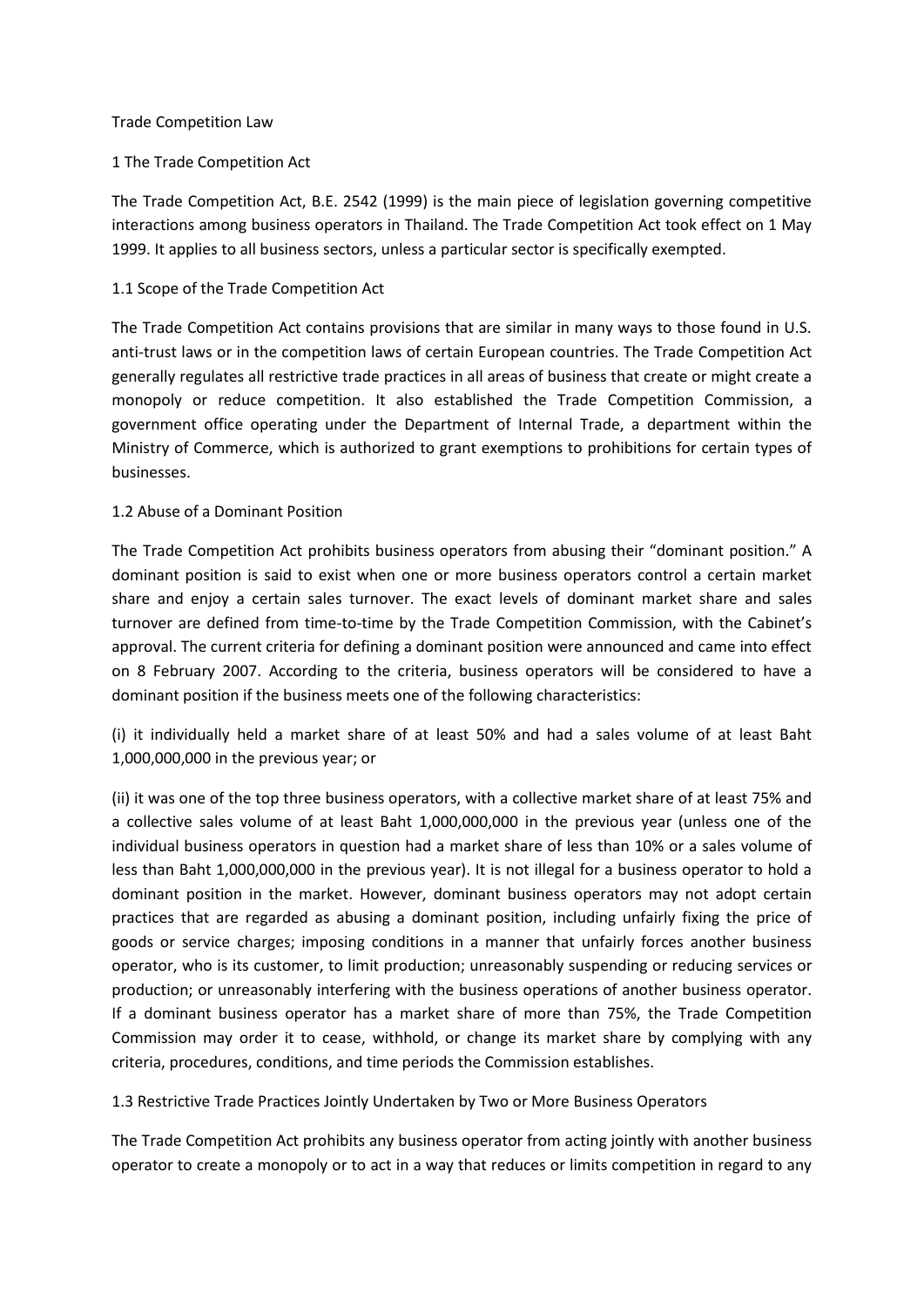#### Trade Competition Law

### 1 The Trade Competition Act

The Trade Competition Act, B.E. 2542 (1999) is the main piece of legislation governing competitive interactions among business operators in Thailand. The Trade Competition Act took effect on 1 May 1999. It applies to all business sectors, unless a particular sector is specifically exempted.

### 1.1 Scope of the Trade Competition Act

The Trade Competition Act contains provisions that are similar in many ways to those found in U.S. anti-trust laws or in the competition laws of certain European countries. The Trade Competition Act generally regulates all restrictive trade practices in all areas of business that create or might create a monopoly or reduce competition. It also established the Trade Competition Commission, a government office operating under the Department of Internal Trade, a department within the Ministry of Commerce, which is authorized to grant exemptions to prohibitions for certain types of businesses.

### 1.2 Abuse of a Dominant Position

The Trade Competition Act prohibits business operators from abusing their "dominant position." A dominant position is said to exist when one or more business operators control a certain market share and enjoy a certain sales turnover. The exact levels of dominant market share and sales turnover are defined from time-to-time by the Trade Competition Commission, with the Cabinet's approval. The current criteria for defining a dominant position were announced and came into effect on 8 February 2007. According to the criteria, business operators will be considered to have a dominant position if the business meets one of the following characteristics:

(i) it individually held a market share of at least 50% and had a sales volume of at least Baht 1,000,000,000 in the previous year; or

(ii) it was one of the top three business operators, with a collective market share of at least 75% and a collective sales volume of at least Baht 1,000,000,000 in the previous year (unless one of the individual business operators in question had a market share of less than 10% or a sales volume of less than Baht 1,000,000,000 in the previous year). It is not illegal for a business operator to hold a dominant position in the market. However, dominant business operators may not adopt certain practices that are regarded as abusing a dominant position, including unfairly fixing the price of goods or service charges; imposing conditions in a manner that unfairly forces another business operator, who is its customer, to limit production; unreasonably suspending or reducing services or production; or unreasonably interfering with the business operations of another business operator. If a dominant business operator has a market share of more than 75%, the Trade Competition Commission may order it to cease, withhold, or change its market share by complying with any criteria, procedures, conditions, and time periods the Commission establishes.

1.3 Restrictive Trade Practices Jointly Undertaken by Two or More Business Operators

The Trade Competition Act prohibits any business operator from acting jointly with another business operator to create a monopoly or to act in a way that reduces or limits competition in regard to any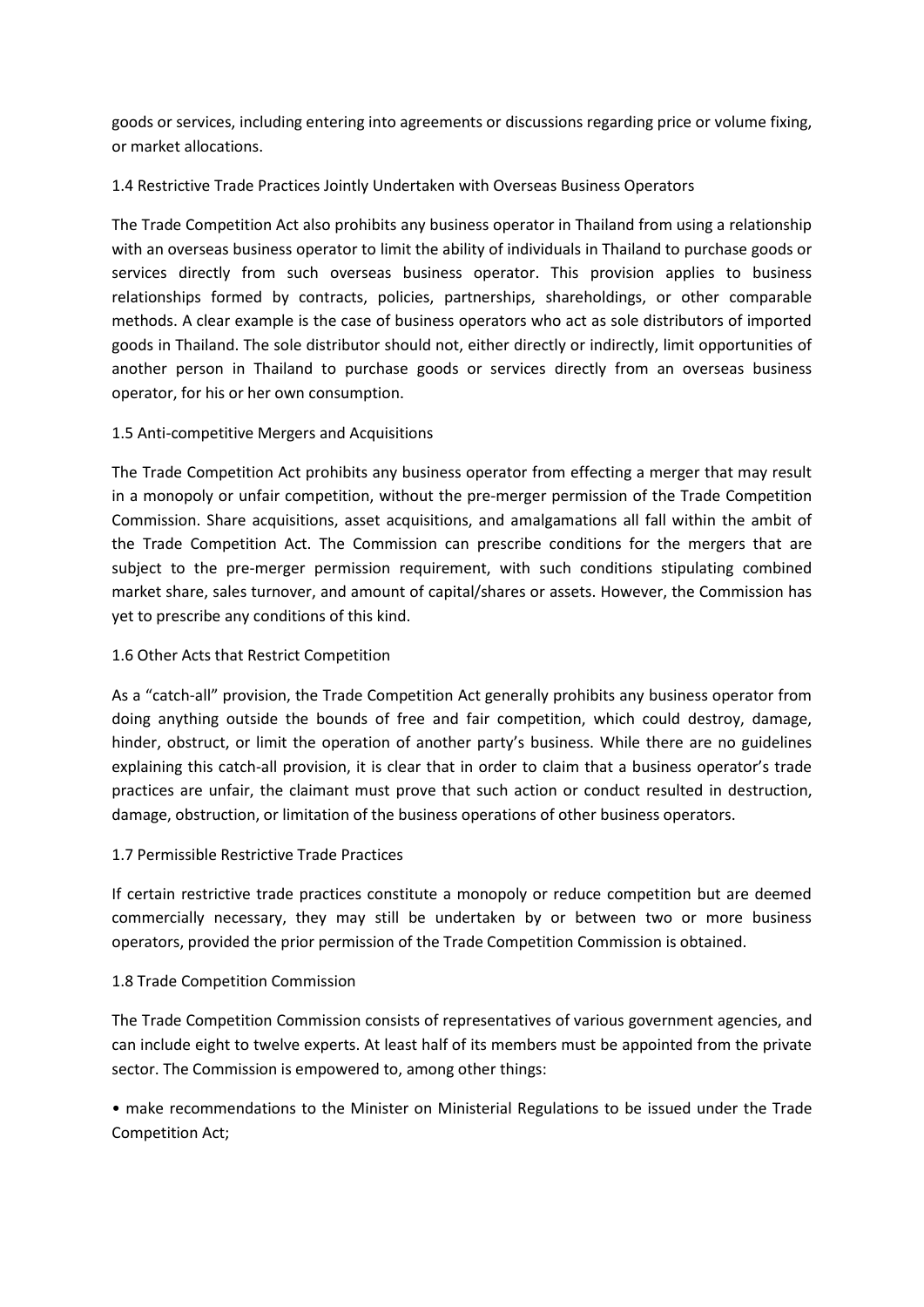goods or services, including entering into agreements or discussions regarding price or volume fixing, or market allocations.

## 1.4 Restrictive Trade Practices Jointly Undertaken with Overseas Business Operators

The Trade Competition Act also prohibits any business operator in Thailand from using a relationship with an overseas business operator to limit the ability of individuals in Thailand to purchase goods or services directly from such overseas business operator. This provision applies to business relationships formed by contracts, policies, partnerships, shareholdings, or other comparable methods. A clear example is the case of business operators who act as sole distributors of imported goods in Thailand. The sole distributor should not, either directly or indirectly, limit opportunities of another person in Thailand to purchase goods or services directly from an overseas business operator, for his or her own consumption.

## 1.5 Anti-competitive Mergers and Acquisitions

The Trade Competition Act prohibits any business operator from effecting a merger that may result in a monopoly or unfair competition, without the pre-merger permission of the Trade Competition Commission. Share acquisitions, asset acquisitions, and amalgamations all fall within the ambit of the Trade Competition Act. The Commission can prescribe conditions for the mergers that are subject to the pre-merger permission requirement, with such conditions stipulating combined market share, sales turnover, and amount of capital/shares or assets. However, the Commission has yet to prescribe any conditions of this kind.

# 1.6 Other Acts that Restrict Competition

As a "catch-all" provision, the Trade Competition Act generally prohibits any business operator from doing anything outside the bounds of free and fair competition, which could destroy, damage, hinder, obstruct, or limit the operation of another party's business. While there are no guidelines explaining this catch-all provision, it is clear that in order to claim that a business operator's trade practices are unfair, the claimant must prove that such action or conduct resulted in destruction, damage, obstruction, or limitation of the business operations of other business operators.

## 1.7 Permissible Restrictive Trade Practices

If certain restrictive trade practices constitute a monopoly or reduce competition but are deemed commercially necessary, they may still be undertaken by or between two or more business operators, provided the prior permission of the Trade Competition Commission is obtained.

## 1.8 Trade Competition Commission

The Trade Competition Commission consists of representatives of various government agencies, and can include eight to twelve experts. At least half of its members must be appointed from the private sector. The Commission is empowered to, among other things:

• make recommendations to the Minister on Ministerial Regulations to be issued under the Trade Competition Act;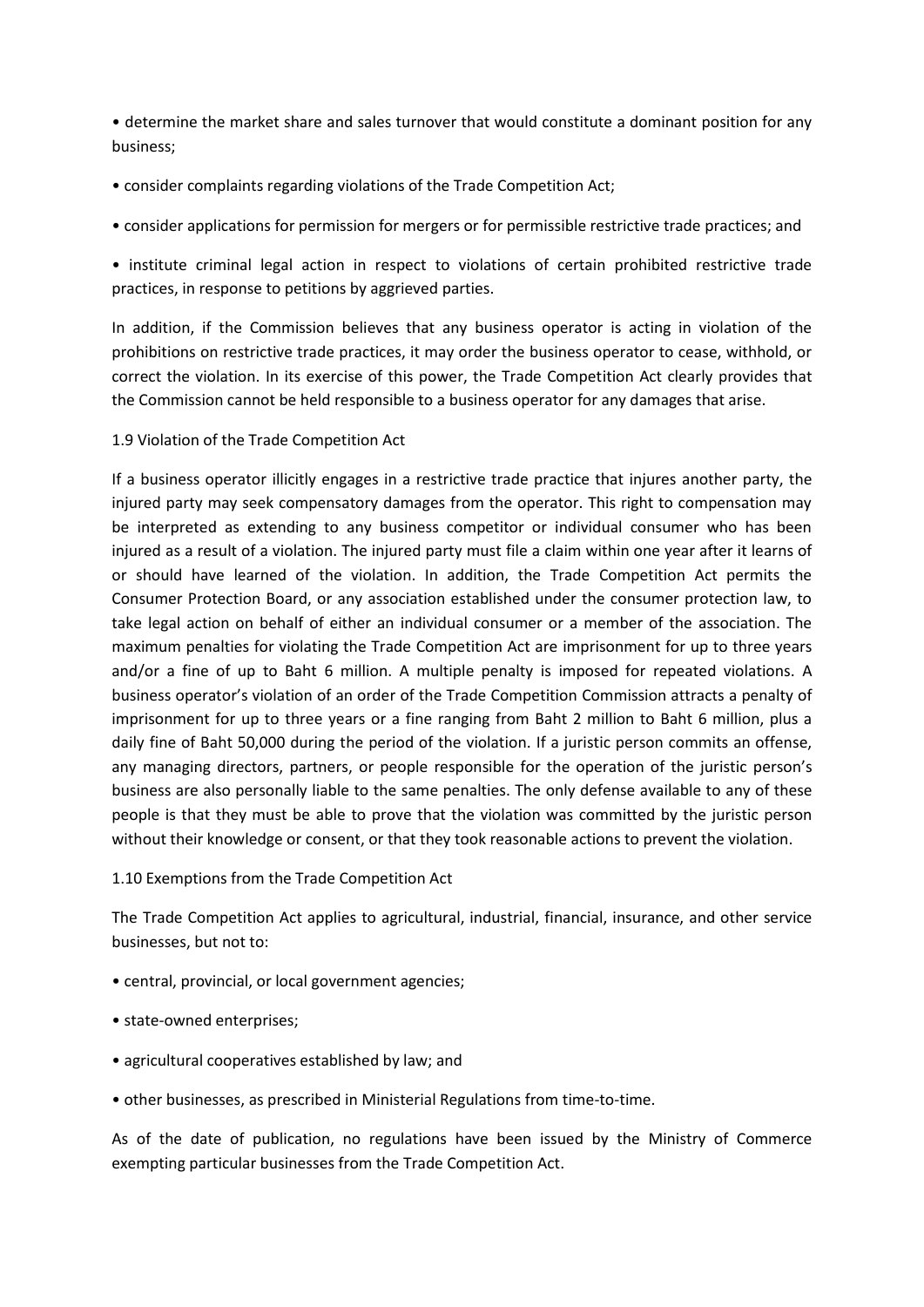• determine the market share and sales turnover that would constitute a dominant position for any business;

- consider complaints regarding violations of the Trade Competition Act;
- consider applications for permission for mergers or for permissible restrictive trade practices; and

• institute criminal legal action in respect to violations of certain prohibited restrictive trade practices, in response to petitions by aggrieved parties.

In addition, if the Commission believes that any business operator is acting in violation of the prohibitions on restrictive trade practices, it may order the business operator to cease, withhold, or correct the violation. In its exercise of this power, the Trade Competition Act clearly provides that the Commission cannot be held responsible to a business operator for any damages that arise.

1.9 Violation of the Trade Competition Act

If a business operator illicitly engages in a restrictive trade practice that injures another party, the injured party may seek compensatory damages from the operator. This right to compensation may be interpreted as extending to any business competitor or individual consumer who has been injured as a result of a violation. The injured party must file a claim within one year after it learns of or should have learned of the violation. In addition, the Trade Competition Act permits the Consumer Protection Board, or any association established under the consumer protection law, to take legal action on behalf of either an individual consumer or a member of the association. The maximum penalties for violating the Trade Competition Act are imprisonment for up to three years and/or a fine of up to Baht 6 million. A multiple penalty is imposed for repeated violations. A business operator's violation of an order of the Trade Competition Commission attracts a penalty of imprisonment for up to three years or a fine ranging from Baht 2 million to Baht 6 million, plus a daily fine of Baht 50,000 during the period of the violation. If a juristic person commits an offense, any managing directors, partners, or people responsible for the operation of the juristic person's business are also personally liable to the same penalties. The only defense available to any of these people is that they must be able to prove that the violation was committed by the juristic person without their knowledge or consent, or that they took reasonable actions to prevent the violation.

#### 1.10 Exemptions from the Trade Competition Act

The Trade Competition Act applies to agricultural, industrial, financial, insurance, and other service businesses, but not to:

- central, provincial, or local government agencies;
- state-owned enterprises;
- agricultural cooperatives established by law; and
- other businesses, as prescribed in Ministerial Regulations from time-to-time.

As of the date of publication, no regulations have been issued by the Ministry of Commerce exempting particular businesses from the Trade Competition Act.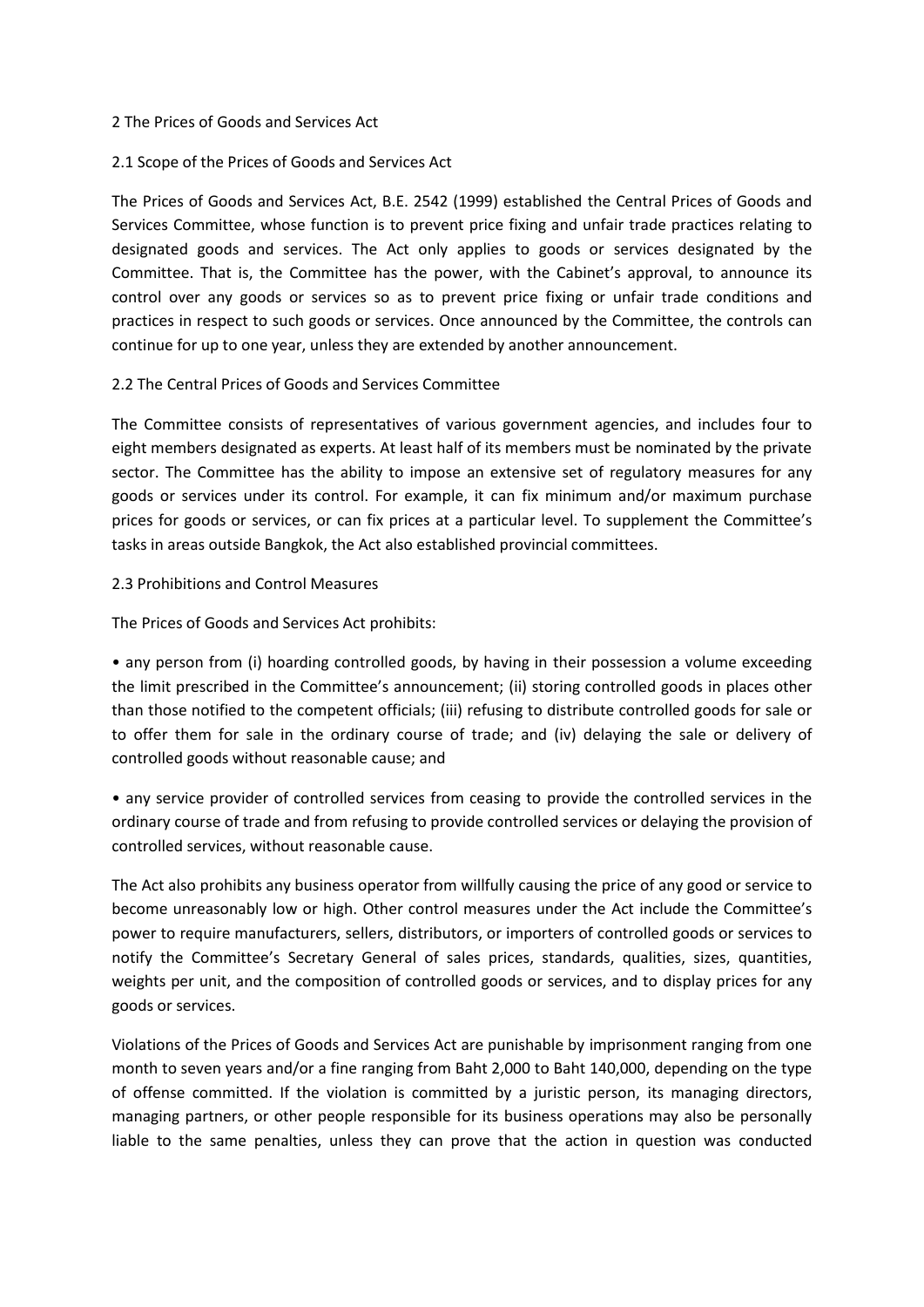#### 2 The Prices of Goods and Services Act

#### 2.1 Scope of the Prices of Goods and Services Act

The Prices of Goods and Services Act, B.E. 2542 (1999) established the Central Prices of Goods and Services Committee, whose function is to prevent price fixing and unfair trade practices relating to designated goods and services. The Act only applies to goods or services designated by the Committee. That is, the Committee has the power, with the Cabinet's approval, to announce its control over any goods or services so as to prevent price fixing or unfair trade conditions and practices in respect to such goods or services. Once announced by the Committee, the controls can continue for up to one year, unless they are extended by another announcement.

#### 2.2 The Central Prices of Goods and Services Committee

The Committee consists of representatives of various government agencies, and includes four to eight members designated as experts. At least half of its members must be nominated by the private sector. The Committee has the ability to impose an extensive set of regulatory measures for any goods or services under its control. For example, it can fix minimum and/or maximum purchase prices for goods or services, or can fix prices at a particular level. To supplement the Committee's tasks in areas outside Bangkok, the Act also established provincial committees.

#### 2.3 Prohibitions and Control Measures

The Prices of Goods and Services Act prohibits:

• any person from (i) hoarding controlled goods, by having in their possession a volume exceeding the limit prescribed in the Committee's announcement; (ii) storing controlled goods in places other than those notified to the competent officials; (iii) refusing to distribute controlled goods for sale or to offer them for sale in the ordinary course of trade; and (iv) delaying the sale or delivery of controlled goods without reasonable cause; and

• any service provider of controlled services from ceasing to provide the controlled services in the ordinary course of trade and from refusing to provide controlled services or delaying the provision of controlled services, without reasonable cause.

The Act also prohibits any business operator from willfully causing the price of any good or service to become unreasonably low or high. Other control measures under the Act include the Committee's power to require manufacturers, sellers, distributors, or importers of controlled goods or services to notify the Committee's Secretary General of sales prices, standards, qualities, sizes, quantities, weights per unit, and the composition of controlled goods or services, and to display prices for any goods or services.

Violations of the Prices of Goods and Services Act are punishable by imprisonment ranging from one month to seven years and/or a fine ranging from Baht 2,000 to Baht 140,000, depending on the type of offense committed. If the violation is committed by a juristic person, its managing directors, managing partners, or other people responsible for its business operations may also be personally liable to the same penalties, unless they can prove that the action in question was conducted